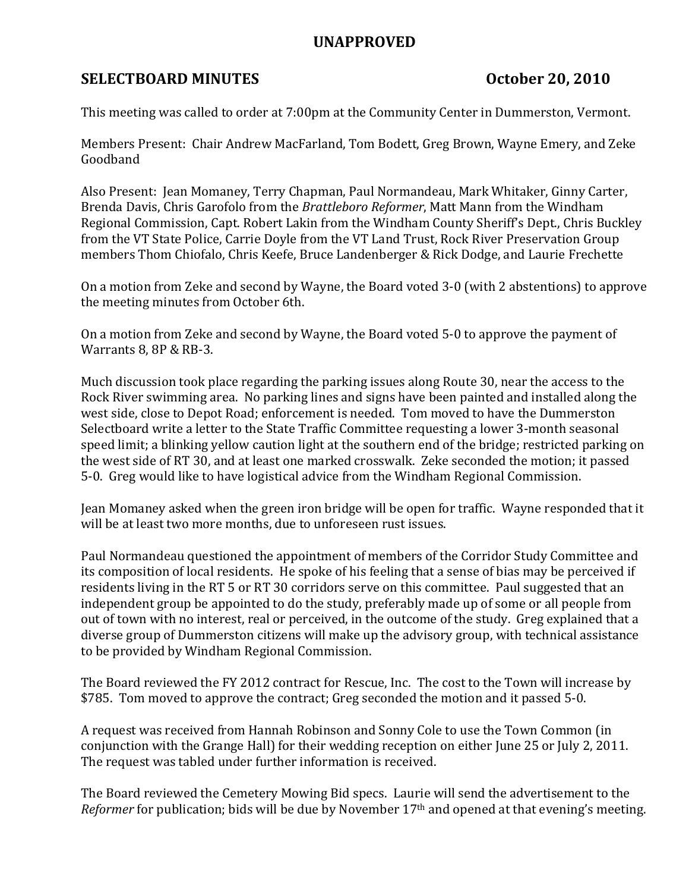## UNAPPROVED

# SELECTBOARD MINUTES October 20, 2010

This meeting was called to order at 7:00pm at the Community Center in Dummerston, Vermont.

Members Present: Chair Andrew MacFarland, Tom Bodett, Greg Brown, Wayne Emery, and Zeke Goodband

Also Present: Jean Momaney, Terry Chapman, Paul Normandeau, Mark Whitaker, Ginny Carter, Brenda Davis, Chris Garofolo from the Brattleboro Reformer, Matt Mann from the Windham Regional Commission, Capt. Robert Lakin from the Windham County Sheriff's Dept., Chris Buckley from the VT State Police, Carrie Doyle from the VT Land Trust, Rock River Preservation Group members Thom Chiofalo, Chris Keefe, Bruce Landenberger & Rick Dodge, and Laurie Frechette

On a motion from Zeke and second by Wayne, the Board voted 3-0 (with 2 abstentions) to approve the meeting minutes from October 6th.

On a motion from Zeke and second by Wayne, the Board voted 5-0 to approve the payment of Warrants 8, 8P & RB-3.

Much discussion took place regarding the parking issues along Route 30, near the access to the Rock River swimming area. No parking lines and signs have been painted and installed along the west side, close to Depot Road; enforcement is needed. Tom moved to have the Dummerston Selectboard write a letter to the State Traffic Committee requesting a lower 3-month seasonal speed limit; a blinking yellow caution light at the southern end of the bridge; restricted parking on the west side of RT 30, and at least one marked crosswalk. Zeke seconded the motion; it passed 5-0. Greg would like to have logistical advice from the Windham Regional Commission.

Jean Momaney asked when the green iron bridge will be open for traffic. Wayne responded that it will be at least two more months, due to unforeseen rust issues.

Paul Normandeau questioned the appointment of members of the Corridor Study Committee and its composition of local residents. He spoke of his feeling that a sense of bias may be perceived if residents living in the RT 5 or RT 30 corridors serve on this committee. Paul suggested that an independent group be appointed to do the study, preferably made up of some or all people from out of town with no interest, real or perceived, in the outcome of the study. Greg explained that a diverse group of Dummerston citizens will make up the advisory group, with technical assistance to be provided by Windham Regional Commission.

The Board reviewed the FY 2012 contract for Rescue, Inc. The cost to the Town will increase by \$785. Tom moved to approve the contract; Greg seconded the motion and it passed 5-0.

A request was received from Hannah Robinson and Sonny Cole to use the Town Common (in conjunction with the Grange Hall) for their wedding reception on either June 25 or July 2, 2011. The request was tabled under further information is received.

The Board reviewed the Cemetery Mowing Bid specs. Laurie will send the advertisement to the Reformer for publication; bids will be due by November 17<sup>th</sup> and opened at that evening's meeting.